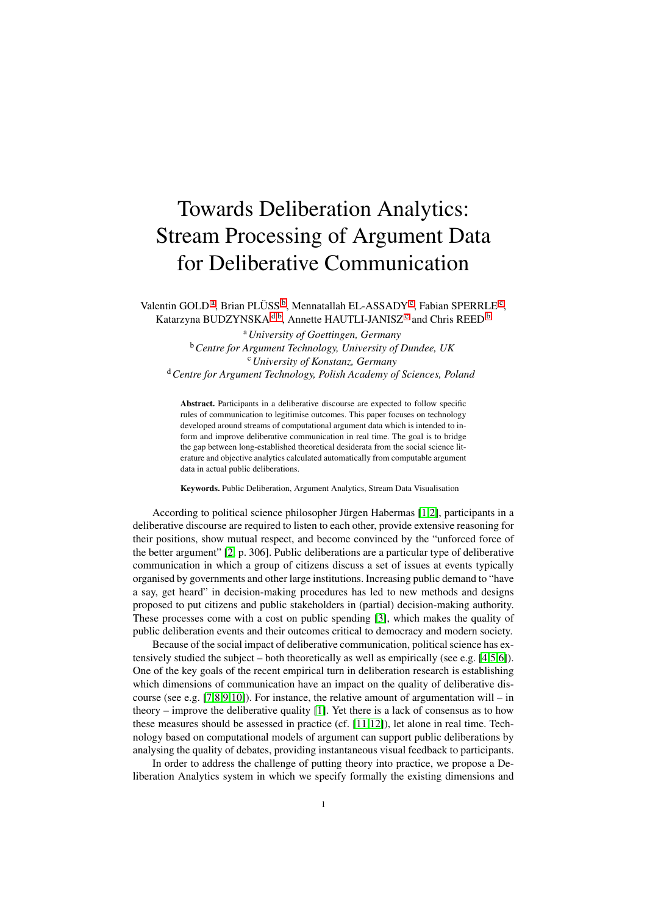## Towards Deliberation Analytics: Stream Processing of Argument Data for Deliberative Communication

<span id="page-0-0"></span>V[a](#page-0-0)lentin GOLD<sup>a</sup>, Brian PLÜSS<sup>[b](#page-0-1)</sup>, Mennatallah EL-ASSADY<sup>[c](#page-0-2)</sup>, Fabian SPERRLE<sup>c</sup>, Katarzyna BUDZYNSKA <sup>[d](#page-0-3),[b](#page-0-1)</sup>, Annette HAUTLI-JANISZ<sup>[c](#page-0-2)</sup> and Chris REED <sup>b</sup>

<span id="page-0-3"></span><span id="page-0-2"></span><span id="page-0-1"></span><sup>a</sup>*University of Goettingen, Germany* <sup>b</sup>*Centre for Argument Technology, University of Dundee, UK* <sup>c</sup>*University of Konstanz, Germany* <sup>d</sup>*Centre for Argument Technology, Polish Academy of Sciences, Poland*

Abstract. Participants in a deliberative discourse are expected to follow specific rules of communication to legitimise outcomes. This paper focuses on technology developed around streams of computational argument data which is intended to inform and improve deliberative communication in real time. The goal is to bridge the gap between long-established theoretical desiderata from the social science literature and objective analytics calculated automatically from computable argument data in actual public deliberations.

Keywords. Public Deliberation, Argument Analytics, Stream Data Visualisation

According to political science philosopher Jürgen Habermas  $[1,2]$  $[1,2]$ , participants in a deliberative discourse are required to listen to each other, provide extensive reasoning for their positions, show mutual respect, and become convinced by the "unforced force of the better argument" [\[2,](#page-2-1) p. 306]. Public deliberations are a particular type of deliberative communication in which a group of citizens discuss a set of issues at events typically organised by governments and other large institutions. Increasing public demand to "have a say, get heard" in decision-making procedures has led to new methods and designs proposed to put citizens and public stakeholders in (partial) decision-making authority. These processes come with a cost on public spending [\[3\]](#page-2-2), which makes the quality of public deliberation events and their outcomes critical to democracy and modern society.

Because of the social impact of deliberative communication, political science has extensively studied the subject – both theoretically as well as empirically (see e.g. [\[4,](#page-2-3)[5](#page-2-4)[,6\]](#page-2-5)). One of the key goals of the recent empirical turn in deliberation research is establishing which dimensions of communication have an impact on the quality of deliberative dis-course (see e.g. [\[7,](#page-2-6)[8,](#page-2-7)[9,](#page-2-8)[10\]](#page-2-9)). For instance, the relative amount of argumentation will – in theory – improve the deliberative quality  $[1]$ . Yet there is a lack of consensus as to how these measures should be assessed in practice (cf. [\[11](#page-2-10)[,12\]](#page-2-11)), let alone in real time. Technology based on computational models of argument can support public deliberations by analysing the quality of debates, providing instantaneous visual feedback to participants.

In order to address the challenge of putting theory into practice, we propose a Deliberation Analytics system in which we specify formally the existing dimensions and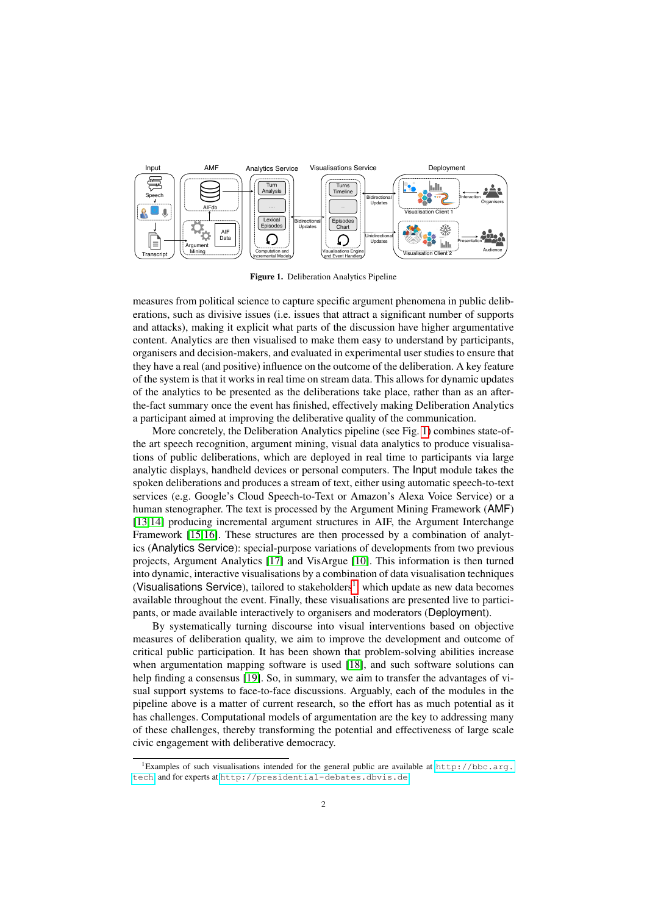<span id="page-1-0"></span>

Figure 1. Deliberation Analytics Pipeline

measures from political science to capture specific argument phenomena in public deliberations, such as divisive issues (i.e. issues that attract a significant number of supports and attacks), making it explicit what parts of the discussion have higher argumentative content. Analytics are then visualised to make them easy to understand by participants, organisers and decision-makers, and evaluated in experimental user studies to ensure that they have a real (and positive) influence on the outcome of the deliberation. A key feature of the system is that it works in real time on stream data. This allows for dynamic updates of the analytics to be presented as the deliberations take place, rather than as an afterthe-fact summary once the event has finished, effectively making Deliberation Analytics a participant aimed at improving the deliberative quality of the communication.

More concretely, the Deliberation Analytics pipeline (see Fig. [1\)](#page-1-0) combines state-ofthe art speech recognition, argument mining, visual data analytics to produce visualisations of public deliberations, which are deployed in real time to participants via large analytic displays, handheld devices or personal computers. The Input module takes the spoken deliberations and produces a stream of text, either using automatic speech-to-text services (e.g. Google's Cloud Speech-to-Text or Amazon's Alexa Voice Service) or a human stenographer. The text is processed by the Argument Mining Framework (AMF) [\[13,](#page-2-12)[14\]](#page-2-13) producing incremental argument structures in AIF, the Argument Interchange Framework [\[15,](#page-2-14)[16\]](#page-2-15). These structures are then processed by a combination of analytics (Analytics Service): special-purpose variations of developments from two previous projects, Argument Analytics [\[17\]](#page-2-16) and VisArgue [\[10\]](#page-2-9). This information is then turned into dynamic, interactive visualisations by a combination of data visualisation techniques (Visualisations Service), tailored to stakeholders<sup>[1](#page-1-1)</sup>, which update as new data becomes available throughout the event. Finally, these visualisations are presented live to participants, or made available interactively to organisers and moderators (Deployment).

By systematically turning discourse into visual interventions based on objective measures of deliberation quality, we aim to improve the development and outcome of critical public participation. It has been shown that problem-solving abilities increase when argumentation mapping software is used [\[18\]](#page-2-17), and such software solutions can help finding a consensus [\[19\]](#page-2-18). So, in summary, we aim to transfer the advantages of visual support systems to face-to-face discussions. Arguably, each of the modules in the pipeline above is a matter of current research, so the effort has as much potential as it has challenges. Computational models of argumentation are the key to addressing many of these challenges, thereby transforming the potential and effectiveness of large scale civic engagement with deliberative democracy.

<span id="page-1-1"></span><sup>&</sup>lt;sup>1</sup>Examples of such visualisations intended for the general public are available at [http://bbc.arg.](http://bbc.arg.tech) [tech](http://bbc.arg.tech), and for experts at <http://presidential-debates.dbvis.de>.